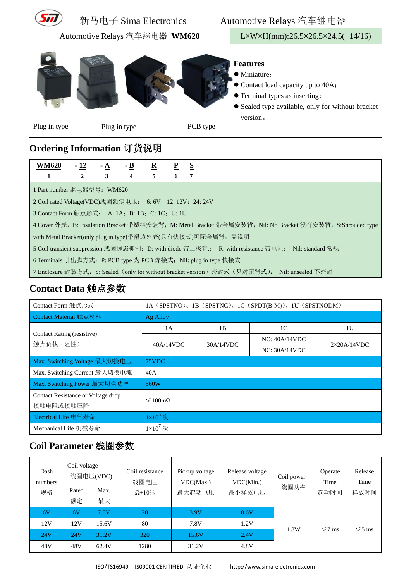

### **Ordering Information** 订货说明

| <b>WM620</b>                                                                                              | $-12$        | - A | $-B$                    | $\mathbf{R}$ | $\mathbf{P}$ | <u>s</u> |  |  |
|-----------------------------------------------------------------------------------------------------------|--------------|-----|-------------------------|--------------|--------------|----------|--|--|
|                                                                                                           | $\mathbf{2}$ | 3   | $\overline{\mathbf{4}}$ | 5            | 6            | 7        |  |  |
| 1 Part number 继电器型号: WM620                                                                                |              |     |                         |              |              |          |  |  |
| 2 Coil rated Voltage(VDC)线圈额定电压: 6: 6V; 12: 12V; 24: 24V                                                  |              |     |                         |              |              |          |  |  |
| 3 Contact Form 触点形式: A: 1A; B: 1B; C: 1C; U: 1U                                                           |              |     |                         |              |              |          |  |  |
| 4 Cover 外壳: B: Insulation Bracket 带塑料安装背; M: Metal Bracket 带金属安装背; Nil: No Bracket 没有安装背; S:Shrouded type |              |     |                         |              |              |          |  |  |
| with Metal Bracket(only plug in type)带裙边外壳(只有快接式)可配金属背, 需说明                                               |              |     |                         |              |              |          |  |  |
| 5 Coil transient suppression 线圈瞬态抑制: D: with diode 带二极管:; R: with resistance 带电阻; Nil: standard 常规        |              |     |                         |              |              |          |  |  |
| 6 Terminals 引出脚方式: P: PCB type 为 PCB 焊接式; Nil: plug in type 快接式                                           |              |     |                         |              |              |          |  |  |

7 Enclosure 封装方式: S: Sealed (only for without bracket version) 密封式(只对无背式); Nil: unsealed 不密封

### **Contact Data** 触点参数

| Contact Form 触点形式                               | 1A (SPSTNO), 1B (SPSTNC), 1C (SPDT(B-M)), 1U (SPSTNODM) |    |                                |                     |  |  |  |
|-------------------------------------------------|---------------------------------------------------------|----|--------------------------------|---------------------|--|--|--|
| Contact Material 触点材料                           | Ag Alloy                                                |    |                                |                     |  |  |  |
| Contact Rating (resistive)                      | 1A                                                      | 1B | 1 <sup>C</sup>                 | 1U                  |  |  |  |
| 触点负载(阻性)                                        | 30A/14VDC<br>40A/14VDC                                  |    | NO: 40A/14VDC<br>NC: 30A/14VDC | $2\times20$ A/14VDC |  |  |  |
| Max. Switching Voltage 最大切换电压                   | 75VDC                                                   |    |                                |                     |  |  |  |
| Max. Switching Current 最大切换电流                   | 40A                                                     |    |                                |                     |  |  |  |
| Max. Switching Power 最大切换功率                     | 560W                                                    |    |                                |                     |  |  |  |
| Contact Resistance or Voltage drop<br>接触电阻或接触压降 | $\leq 100 \text{m}$ O                                   |    |                                |                     |  |  |  |
| Electrical Life 电气寿命                            | $1\times10^5$ 次                                         |    |                                |                     |  |  |  |
| Mechanical Life 机械寿命                            | $1\times10^7$ 次                                         |    |                                |                     |  |  |  |

## **Coil Parameter** 线圈参数

| Dash<br>numbers | Coil voltage | 线圈电压(VDC) | Coil resistance<br>线圈电阻 | Pickup voltage<br>VDC(Max.) | Release voltage<br>VDC(Min.) | Coil power<br>线圈功率 | Operate<br>Time | Release<br>Time |
|-----------------|--------------|-----------|-------------------------|-----------------------------|------------------------------|--------------------|-----------------|-----------------|
| 规格              | Rated        | Max.      | $\Omega \pm 10\%$       | 最大起动电压                      | 最小释放电压                       |                    |                 | 释放时间            |
|                 | 额定           | 最大        |                         |                             |                              |                    |                 |                 |
| 6V              | 6V           | 7.8V      | 20                      | 3.9V                        | 0.6V                         |                    |                 |                 |
| 12V             | 12V          | 15.6V     | 80                      | 7.8V                        | 1.2V                         | 1.8W               | $\leq 7$ ms     | $\leq 5$ ms     |
| 24V             | 24V          | 31.2V     | 320                     | 15.6V                       | 2.4V                         |                    |                 |                 |
| 48V             | 48V          | 62.4V     | 1280                    | 31.2V                       | 4.8V                         |                    |                 |                 |